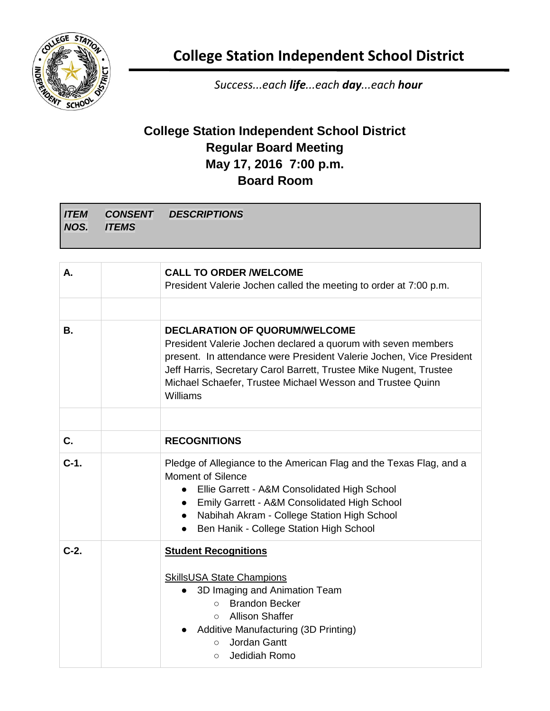

**College Station Independent School District**

*Success...each life...each day...each hour*

## **College Station Independent School District Regular Board Meeting May 17, 2016 7:00 p.m. Board Room**

| А.     | <b>CALL TO ORDER /WELCOME</b><br>President Valerie Jochen called the meeting to order at 7:00 p.m.                                                                                                                                                                                                                            |
|--------|-------------------------------------------------------------------------------------------------------------------------------------------------------------------------------------------------------------------------------------------------------------------------------------------------------------------------------|
|        |                                                                                                                                                                                                                                                                                                                               |
| В.     | <b>DECLARATION OF QUORUM/WELCOME</b><br>President Valerie Jochen declared a quorum with seven members<br>present. In attendance were President Valerie Jochen, Vice President<br>Jeff Harris, Secretary Carol Barrett, Trustee Mike Nugent, Trustee<br>Michael Schaefer, Trustee Michael Wesson and Trustee Quinn<br>Williams |
|        |                                                                                                                                                                                                                                                                                                                               |
| C.     | <b>RECOGNITIONS</b>                                                                                                                                                                                                                                                                                                           |
| $C-1.$ | Pledge of Allegiance to the American Flag and the Texas Flag, and a<br><b>Moment of Silence</b><br>• Ellie Garrett - A&M Consolidated High School<br>Emily Garrett - A&M Consolidated High School<br>$\bullet$<br>• Nabihah Akram - College Station High School<br>Ben Hanik - College Station High School<br>$\bullet$       |
| $C-2.$ | <b>Student Recognitions</b><br><b>SkillsUSA State Champions</b><br>3D Imaging and Animation Team<br>$\bullet$<br>○ Brandon Becker<br><b>Allison Shaffer</b><br>$\circ$<br><b>Additive Manufacturing (3D Printing)</b><br>Jordan Gantt<br>$\circ$<br>Jedidiah Romo<br>$\circ$                                                  |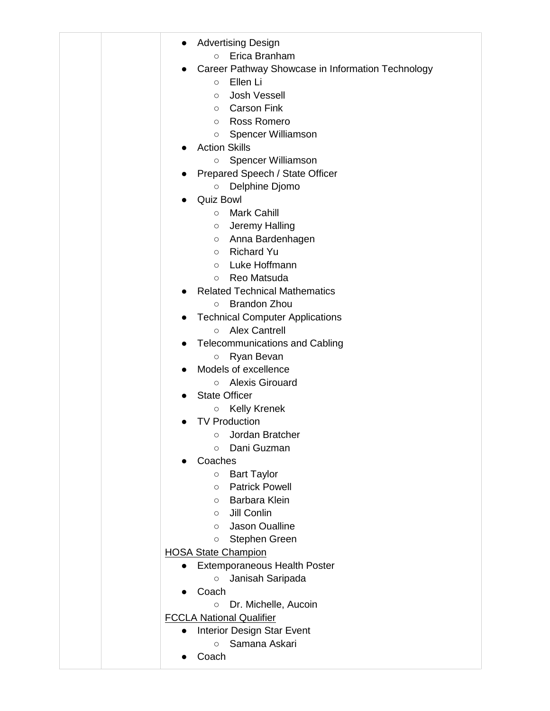|  | <b>Advertising Design</b>                              |
|--|--------------------------------------------------------|
|  | Erica Branham<br>$\circ$                               |
|  | Career Pathway Showcase in Information Technology      |
|  | Ellen Li<br>$\circ$                                    |
|  | <b>Josh Vessell</b><br>$\circ$                         |
|  | <b>Carson Fink</b><br>$\circ$                          |
|  | Ross Romero<br>$\circ$                                 |
|  | Spencer Williamson<br>$\circ$                          |
|  | <b>Action Skills</b>                                   |
|  | Spencer Williamson<br>$\circ$                          |
|  | Prepared Speech / State Officer                        |
|  | Delphine Djomo<br>$\bigcirc$                           |
|  | <b>Quiz Bowl</b>                                       |
|  | <b>Mark Cahill</b><br>$\circ$                          |
|  | Jeremy Halling<br>$\circ$                              |
|  | Anna Bardenhagen<br>$\circ$                            |
|  | <b>Richard Yu</b><br>$\circ$                           |
|  | Luke Hoffmann<br>$\circ$                               |
|  | Reo Matsuda<br>$\circ$                                 |
|  | <b>Related Technical Mathematics</b>                   |
|  | <b>Brandon Zhou</b><br>$\circ$                         |
|  | <b>Technical Computer Applications</b>                 |
|  | <b>Alex Cantrell</b><br>$\circ$                        |
|  | <b>Telecommunications and Cabling</b>                  |
|  | Ryan Bevan<br>$\bigcirc$                               |
|  | Models of excellence                                   |
|  | <b>Alexis Girouard</b><br>$\circ$                      |
|  | <b>State Officer</b>                                   |
|  | <b>Kelly Krenek</b><br>$\circ$                         |
|  | <b>TV Production</b>                                   |
|  | ○ Jordan Bratcher                                      |
|  | Dani Guzman<br>$\circ$                                 |
|  | Coaches                                                |
|  | <b>Bart Taylor</b><br>$\circ$<br><b>Patrick Powell</b> |
|  | $\circ$<br>Barbara Klein<br>$\circ$                    |
|  | Jill Conlin<br>$\circ$                                 |
|  | Jason Oualline<br>$\circ$                              |
|  | Stephen Green<br>$\circ$                               |
|  | <b>HOSA State Champion</b>                             |
|  | <b>Extemporaneous Health Poster</b><br>$\bullet$       |
|  | Janisah Saripada<br>$\circ$                            |
|  | Coach                                                  |
|  | Dr. Michelle, Aucoin<br>$\circ$                        |
|  | <b>FCCLA National Qualifier</b>                        |
|  | <b>Interior Design Star Event</b>                      |
|  | Samana Askari<br>$\circ$                               |
|  | Coach                                                  |
|  |                                                        |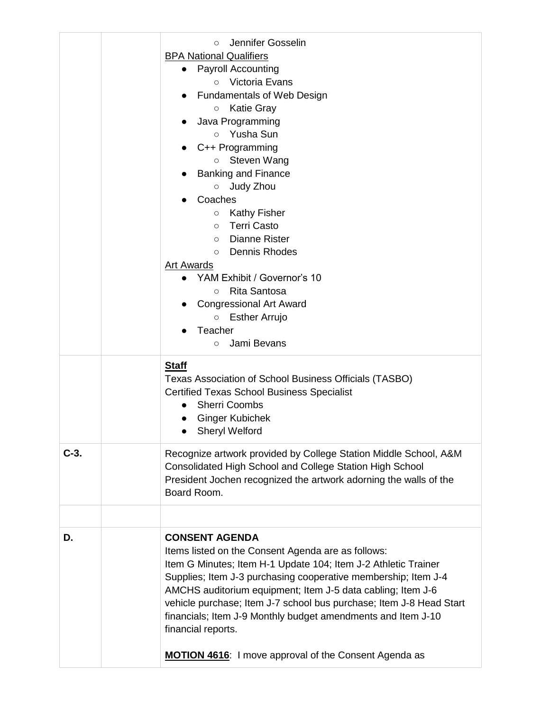|        | Jennifer Gosselin<br>$\circ$<br><b>BPA National Qualifiers</b><br><b>Payroll Accounting</b><br>Victoria Evans<br>$\circ$<br><b>Fundamentals of Web Design</b><br><b>Katie Gray</b><br>$\circ$<br>Java Programming<br>Yusha Sun<br>$\circ$<br>C++ Programming<br>Steven Wang<br>$\circ$<br><b>Banking and Finance</b><br>Judy Zhou<br>$\circ$<br>Coaches<br><b>Kathy Fisher</b><br>$\circ$<br><b>Terri Casto</b><br>$\circ$<br><b>Dianne Rister</b><br>$\circ$<br><b>Dennis Rhodes</b><br>$\circ$<br><b>Art Awards</b><br>YAM Exhibit / Governor's 10<br><b>Rita Santosa</b><br>$\circ$<br><b>Congressional Art Award</b><br><b>Esther Arrujo</b><br>$\circ$<br>Teacher<br>Jami Bevans<br>$\circ$ |
|--------|--------------------------------------------------------------------------------------------------------------------------------------------------------------------------------------------------------------------------------------------------------------------------------------------------------------------------------------------------------------------------------------------------------------------------------------------------------------------------------------------------------------------------------------------------------------------------------------------------------------------------------------------------------------------------------------------------|
|        | <b>Staff</b><br>Texas Association of School Business Officials (TASBO)<br><b>Certified Texas School Business Specialist</b><br><b>Sherri Coombs</b><br><b>Ginger Kubichek</b><br><b>Sheryl Welford</b>                                                                                                                                                                                                                                                                                                                                                                                                                                                                                           |
| $C-3.$ | Recognize artwork provided by College Station Middle School, A&M<br>Consolidated High School and College Station High School<br>President Jochen recognized the artwork adorning the walls of the<br>Board Room.                                                                                                                                                                                                                                                                                                                                                                                                                                                                                 |
| D.     | <b>CONSENT AGENDA</b><br>Items listed on the Consent Agenda are as follows:<br>Item G Minutes; Item H-1 Update 104; Item J-2 Athletic Trainer<br>Supplies; Item J-3 purchasing cooperative membership; Item J-4<br>AMCHS auditorium equipment; Item J-5 data cabling; Item J-6<br>vehicle purchase; Item J-7 school bus purchase; Item J-8 Head Start<br>financials; Item J-9 Monthly budget amendments and Item J-10<br>financial reports.<br><b>MOTION 4616:</b> I move approval of the Consent Agenda as                                                                                                                                                                                      |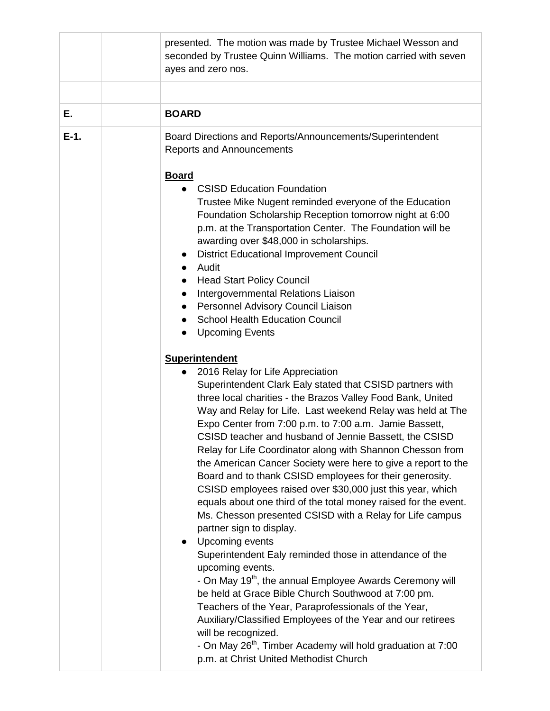|        | presented. The motion was made by Trustee Michael Wesson and<br>seconded by Trustee Quinn Williams. The motion carried with seven<br>ayes and zero nos.                                                                                                                                                                                                                                                                                                                                                                                                                                                                                                                                                                                                                                                                                                                                                                                                                                                                                                                                                                                                                                                                                                                                                                                                                                                                                                                                                                                                                                                                                                                                                                                                                                                                                                                                                                                                       |
|--------|---------------------------------------------------------------------------------------------------------------------------------------------------------------------------------------------------------------------------------------------------------------------------------------------------------------------------------------------------------------------------------------------------------------------------------------------------------------------------------------------------------------------------------------------------------------------------------------------------------------------------------------------------------------------------------------------------------------------------------------------------------------------------------------------------------------------------------------------------------------------------------------------------------------------------------------------------------------------------------------------------------------------------------------------------------------------------------------------------------------------------------------------------------------------------------------------------------------------------------------------------------------------------------------------------------------------------------------------------------------------------------------------------------------------------------------------------------------------------------------------------------------------------------------------------------------------------------------------------------------------------------------------------------------------------------------------------------------------------------------------------------------------------------------------------------------------------------------------------------------------------------------------------------------------------------------------------------------|
|        |                                                                                                                                                                                                                                                                                                                                                                                                                                                                                                                                                                                                                                                                                                                                                                                                                                                                                                                                                                                                                                                                                                                                                                                                                                                                                                                                                                                                                                                                                                                                                                                                                                                                                                                                                                                                                                                                                                                                                               |
| Е.     | <b>BOARD</b>                                                                                                                                                                                                                                                                                                                                                                                                                                                                                                                                                                                                                                                                                                                                                                                                                                                                                                                                                                                                                                                                                                                                                                                                                                                                                                                                                                                                                                                                                                                                                                                                                                                                                                                                                                                                                                                                                                                                                  |
| $E-1.$ | Board Directions and Reports/Announcements/Superintendent<br><b>Reports and Announcements</b><br><b>Board</b><br><b>CSISD Education Foundation</b><br>Trustee Mike Nugent reminded everyone of the Education<br>Foundation Scholarship Reception tomorrow night at 6:00<br>p.m. at the Transportation Center. The Foundation will be<br>awarding over \$48,000 in scholarships.<br><b>District Educational Improvement Council</b><br>Audit<br><b>Head Start Policy Council</b><br>$\bullet$<br>Intergovernmental Relations Liaison<br>Personnel Advisory Council Liaison<br><b>School Health Education Council</b><br><b>Upcoming Events</b><br>$\bullet$<br><b>Superintendent</b><br>2016 Relay for Life Appreciation<br>Superintendent Clark Ealy stated that CSISD partners with<br>three local charities - the Brazos Valley Food Bank, United<br>Way and Relay for Life. Last weekend Relay was held at The<br>Expo Center from 7:00 p.m. to 7:00 a.m. Jamie Bassett,<br>CSISD teacher and husband of Jennie Bassett, the CSISD<br>Relay for Life Coordinator along with Shannon Chesson from<br>the American Cancer Society were here to give a report to the<br>Board and to thank CSISD employees for their generosity.<br>CSISD employees raised over \$30,000 just this year, which<br>equals about one third of the total money raised for the event.<br>Ms. Chesson presented CSISD with a Relay for Life campus<br>partner sign to display.<br>Upcoming events<br>Superintendent Ealy reminded those in attendance of the<br>upcoming events.<br>- On May 19 <sup>th</sup> , the annual Employee Awards Ceremony will<br>be held at Grace Bible Church Southwood at 7:00 pm.<br>Teachers of the Year, Paraprofessionals of the Year,<br>Auxiliary/Classified Employees of the Year and our retirees<br>will be recognized.<br>- On May 26 <sup>th</sup> , Timber Academy will hold graduation at 7:00<br>p.m. at Christ United Methodist Church |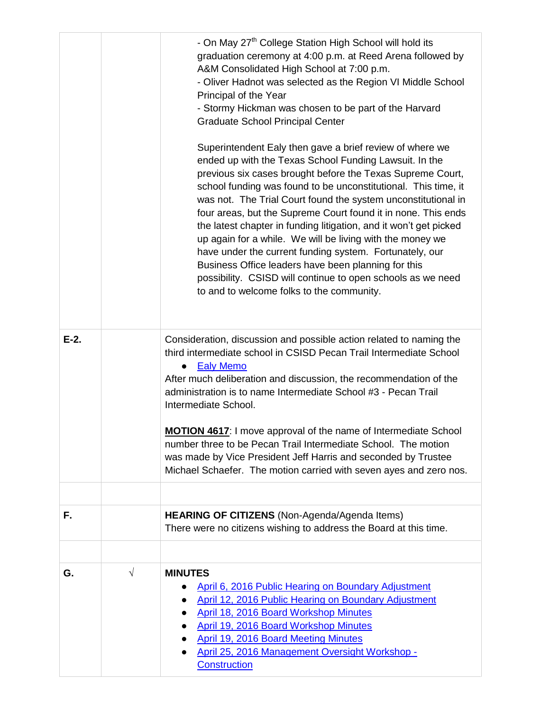|         |            | - On May 27 <sup>th</sup> College Station High School will hold its<br>graduation ceremony at 4:00 p.m. at Reed Arena followed by<br>A&M Consolidated High School at 7:00 p.m.<br>- Oliver Hadnot was selected as the Region VI Middle School<br>Principal of the Year<br>- Stormy Hickman was chosen to be part of the Harvard<br><b>Graduate School Principal Center</b><br>Superintendent Ealy then gave a brief review of where we<br>ended up with the Texas School Funding Lawsuit. In the<br>previous six cases brought before the Texas Supreme Court,<br>school funding was found to be unconstitutional. This time, it<br>was not. The Trial Court found the system unconstitutional in<br>four areas, but the Supreme Court found it in none. This ends<br>the latest chapter in funding litigation, and it won't get picked<br>up again for a while. We will be living with the money we<br>have under the current funding system. Fortunately, our<br>Business Office leaders have been planning for this<br>possibility. CSISD will continue to open schools as we need<br>to and to welcome folks to the community. |
|---------|------------|------------------------------------------------------------------------------------------------------------------------------------------------------------------------------------------------------------------------------------------------------------------------------------------------------------------------------------------------------------------------------------------------------------------------------------------------------------------------------------------------------------------------------------------------------------------------------------------------------------------------------------------------------------------------------------------------------------------------------------------------------------------------------------------------------------------------------------------------------------------------------------------------------------------------------------------------------------------------------------------------------------------------------------------------------------------------------------------------------------------------------------|
| $E-2$ . |            | Consideration, discussion and possible action related to naming the<br>third intermediate school in CSISD Pecan Trail Intermediate School<br><b>Ealy Memo</b><br>$\bullet$<br>After much deliberation and discussion, the recommendation of the<br>administration is to name Intermediate School #3 - Pecan Trail<br>Intermediate School.<br><b>MOTION 4617:</b> I move approval of the name of Intermediate School<br>number three to be Pecan Trail Intermediate School. The motion<br>was made by Vice President Jeff Harris and seconded by Trustee<br>Michael Schaefer. The motion carried with seven ayes and zero nos.                                                                                                                                                                                                                                                                                                                                                                                                                                                                                                      |
|         |            |                                                                                                                                                                                                                                                                                                                                                                                                                                                                                                                                                                                                                                                                                                                                                                                                                                                                                                                                                                                                                                                                                                                                    |
| F.      |            | <b>HEARING OF CITIZENS</b> (Non-Agenda/Agenda Items)<br>There were no citizens wishing to address the Board at this time.                                                                                                                                                                                                                                                                                                                                                                                                                                                                                                                                                                                                                                                                                                                                                                                                                                                                                                                                                                                                          |
|         |            |                                                                                                                                                                                                                                                                                                                                                                                                                                                                                                                                                                                                                                                                                                                                                                                                                                                                                                                                                                                                                                                                                                                                    |
| G.      | $\sqrt{ }$ | <b>MINUTES</b><br>April 6, 2016 Public Hearing on Boundary Adjustment<br>April 12, 2016 Public Hearing on Boundary Adjustment<br>April 18, 2016 Board Workshop Minutes<br><b>April 19, 2016 Board Workshop Minutes</b><br><b>April 19, 2016 Board Meeting Minutes</b><br>April 25, 2016 Management Oversight Workshop -<br>Construction                                                                                                                                                                                                                                                                                                                                                                                                                                                                                                                                                                                                                                                                                                                                                                                            |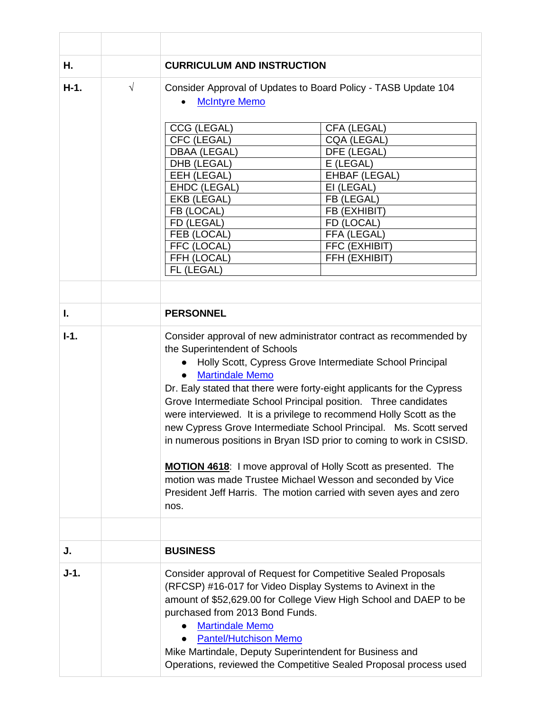| Η.     |           | <b>CURRICULUM AND INSTRUCTION</b>                                                                                                                                                                                                                                                                                                                                                                                                                                                                                                                                                                                                                                                                                                                                             |  |
|--------|-----------|-------------------------------------------------------------------------------------------------------------------------------------------------------------------------------------------------------------------------------------------------------------------------------------------------------------------------------------------------------------------------------------------------------------------------------------------------------------------------------------------------------------------------------------------------------------------------------------------------------------------------------------------------------------------------------------------------------------------------------------------------------------------------------|--|
| $H-1.$ | $\sqrt{}$ | Consider Approval of Updates to Board Policy - TASB Update 104<br><b>McIntyre Memo</b>                                                                                                                                                                                                                                                                                                                                                                                                                                                                                                                                                                                                                                                                                        |  |
|        |           | CCG (LEGAL)<br>CFA (LEGAL)<br>CFC (LEGAL)<br>CQA (LEGAL)<br><b>DBAA (LEGAL)</b><br>DFE (LEGAL)<br>DHB (LEGAL)<br>E (LEGAL)<br>EEH (LEGAL)<br><b>EHBAF (LEGAL)</b><br>EHDC (LEGAL)<br>EI (LEGAL)<br>EKB (LEGAL)<br>FB (LEGAL)<br>FB (LOCAL)<br>FB (EXHIBIT)<br>FD (LEGAL)<br>FD (LOCAL)<br>FEB (LOCAL)<br>FFA (LEGAL)<br>FFC (LOCAL)<br>FFC (EXHIBIT)<br>FFH (LOCAL)<br>FFH (EXHIBIT)<br>FL (LEGAL)                                                                                                                                                                                                                                                                                                                                                                            |  |
|        |           |                                                                                                                                                                                                                                                                                                                                                                                                                                                                                                                                                                                                                                                                                                                                                                               |  |
| ı.     |           | <b>PERSONNEL</b>                                                                                                                                                                                                                                                                                                                                                                                                                                                                                                                                                                                                                                                                                                                                                              |  |
| $I-1.$ |           | Consider approval of new administrator contract as recommended by<br>the Superintendent of Schools<br>Holly Scott, Cypress Grove Intermediate School Principal<br><b>Martindale Memo</b><br>Dr. Ealy stated that there were forty-eight applicants for the Cypress<br>Grove Intermediate School Principal position. Three candidates<br>were interviewed. It is a privilege to recommend Holly Scott as the<br>new Cypress Grove Intermediate School Principal. Ms. Scott served<br>in numerous positions in Bryan ISD prior to coming to work in CSISD.<br><b>MOTION 4618:</b> I move approval of Holly Scott as presented. The<br>motion was made Trustee Michael Wesson and seconded by Vice<br>President Jeff Harris. The motion carried with seven ayes and zero<br>nos. |  |
|        |           |                                                                                                                                                                                                                                                                                                                                                                                                                                                                                                                                                                                                                                                                                                                                                                               |  |
| J.     |           | <b>BUSINESS</b>                                                                                                                                                                                                                                                                                                                                                                                                                                                                                                                                                                                                                                                                                                                                                               |  |
| $J-1.$ |           | Consider approval of Request for Competitive Sealed Proposals<br>(RFCSP) #16-017 for Video Display Systems to Avinext in the<br>amount of \$52,629.00 for College View High School and DAEP to be<br>purchased from 2013 Bond Funds.<br><b>Martindale Memo</b><br><b>Pantel/Hutchison Memo</b><br>Mike Martindale, Deputy Superintendent for Business and<br>Operations, reviewed the Competitive Sealed Proposal process used                                                                                                                                                                                                                                                                                                                                                |  |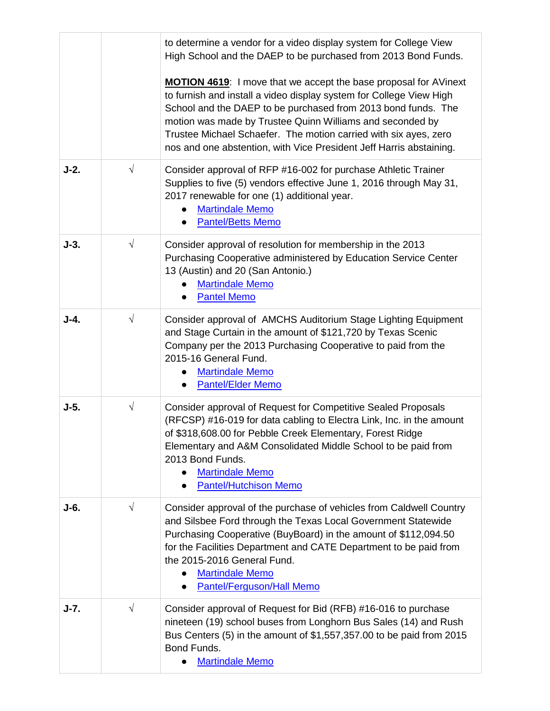|        |            | to determine a vendor for a video display system for College View<br>High School and the DAEP to be purchased from 2013 Bond Funds.                                                                                                                                                                                                                                                                              |
|--------|------------|------------------------------------------------------------------------------------------------------------------------------------------------------------------------------------------------------------------------------------------------------------------------------------------------------------------------------------------------------------------------------------------------------------------|
|        |            | MOTION 4619: I move that we accept the base proposal for AVinext<br>to furnish and install a video display system for College View High<br>School and the DAEP to be purchased from 2013 bond funds. The<br>motion was made by Trustee Quinn Williams and seconded by<br>Trustee Michael Schaefer. The motion carried with six ayes, zero<br>nos and one abstention, with Vice President Jeff Harris abstaining. |
| $J-2.$ | $\sqrt{}$  | Consider approval of RFP #16-002 for purchase Athletic Trainer<br>Supplies to five (5) vendors effective June 1, 2016 through May 31,<br>2017 renewable for one (1) additional year.<br><b>Martindale Memo</b><br><b>Pantel/Betts Memo</b>                                                                                                                                                                       |
| $J-3.$ | $\sqrt{ }$ | Consider approval of resolution for membership in the 2013<br>Purchasing Cooperative administered by Education Service Center<br>13 (Austin) and 20 (San Antonio.)<br><b>Martindale Memo</b><br><b>Pantel Memo</b>                                                                                                                                                                                               |
| $J-4.$ | $\sqrt{ }$ | Consider approval of AMCHS Auditorium Stage Lighting Equipment<br>and Stage Curtain in the amount of \$121,720 by Texas Scenic<br>Company per the 2013 Purchasing Cooperative to paid from the<br>2015-16 General Fund.<br><b>Martindale Memo</b><br><b>Pantel/Elder Memo</b>                                                                                                                                    |
| $J-5.$ | $\sqrt{}$  | Consider approval of Request for Competitive Sealed Proposals<br>(RFCSP) #16-019 for data cabling to Electra Link, Inc. in the amount<br>of \$318,608.00 for Pebble Creek Elementary, Forest Ridge<br>Elementary and A&M Consolidated Middle School to be paid from<br>2013 Bond Funds.<br><b>Martindale Memo</b><br>$\bullet$<br><b>Pantel/Hutchison Memo</b>                                                   |
| $J-6.$ | $\sqrt{ }$ | Consider approval of the purchase of vehicles from Caldwell Country<br>and Silsbee Ford through the Texas Local Government Statewide<br>Purchasing Cooperative (BuyBoard) in the amount of \$112,094.50<br>for the Facilities Department and CATE Department to be paid from<br>the 2015-2016 General Fund.<br><b>Martindale Memo</b><br><b>Pantel/Ferguson/Hall Memo</b><br>$\bullet$                           |
| $J-7.$ | $\sqrt{}$  | Consider approval of Request for Bid (RFB) #16-016 to purchase<br>nineteen (19) school buses from Longhorn Bus Sales (14) and Rush<br>Bus Centers (5) in the amount of \$1,557,357.00 to be paid from 2015<br>Bond Funds.<br><b>Martindale Memo</b>                                                                                                                                                              |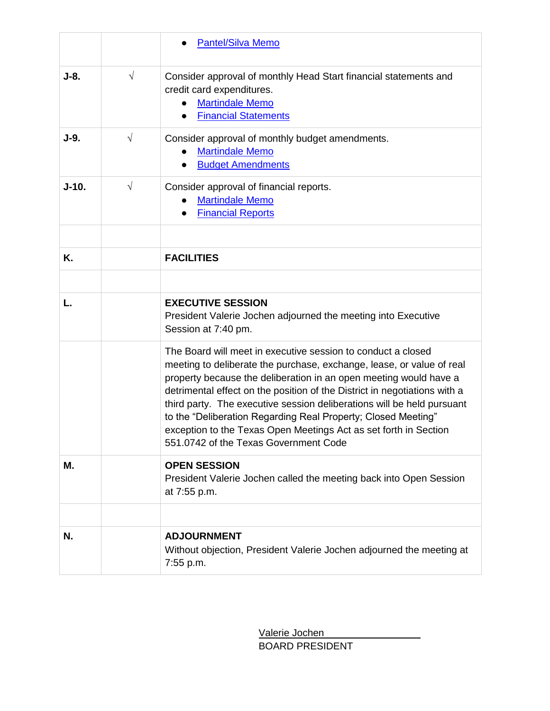|         |           | <b>Pantel/Silva Memo</b>                                                                                                                                                                                                                                                                                                                                                                                                                                                                                                                        |
|---------|-----------|-------------------------------------------------------------------------------------------------------------------------------------------------------------------------------------------------------------------------------------------------------------------------------------------------------------------------------------------------------------------------------------------------------------------------------------------------------------------------------------------------------------------------------------------------|
| $J-8.$  | $\sqrt{}$ | Consider approval of monthly Head Start financial statements and<br>credit card expenditures.<br><b>Martindale Memo</b><br><b>Financial Statements</b><br>$\bullet$                                                                                                                                                                                                                                                                                                                                                                             |
| $J-9.$  | $\sqrt{}$ | Consider approval of monthly budget amendments.<br><b>Martindale Memo</b><br><b>Budget Amendments</b><br>$\bullet$                                                                                                                                                                                                                                                                                                                                                                                                                              |
| $J-10.$ | $\sqrt{}$ | Consider approval of financial reports.<br><b>Martindale Memo</b><br><b>Financial Reports</b><br>$\bullet$                                                                                                                                                                                                                                                                                                                                                                                                                                      |
| Κ.      |           | <b>FACILITIES</b>                                                                                                                                                                                                                                                                                                                                                                                                                                                                                                                               |
|         |           |                                                                                                                                                                                                                                                                                                                                                                                                                                                                                                                                                 |
| L.      |           | <b>EXECUTIVE SESSION</b><br>President Valerie Jochen adjourned the meeting into Executive<br>Session at 7:40 pm.                                                                                                                                                                                                                                                                                                                                                                                                                                |
|         |           | The Board will meet in executive session to conduct a closed<br>meeting to deliberate the purchase, exchange, lease, or value of real<br>property because the deliberation in an open meeting would have a<br>detrimental effect on the position of the District in negotiations with a<br>third party. The executive session deliberations will be held pursuant<br>to the "Deliberation Regarding Real Property; Closed Meeting"<br>exception to the Texas Open Meetings Act as set forth in Section<br>551,0742 of the Texas Government Code |
| Μ.      |           | <b>OPEN SESSION</b><br>President Valerie Jochen called the meeting back into Open Session<br>at 7:55 p.m.                                                                                                                                                                                                                                                                                                                                                                                                                                       |
|         |           |                                                                                                                                                                                                                                                                                                                                                                                                                                                                                                                                                 |
| N.      |           | <b>ADJOURNMENT</b><br>Without objection, President Valerie Jochen adjourned the meeting at<br>7:55 p.m.                                                                                                                                                                                                                                                                                                                                                                                                                                         |